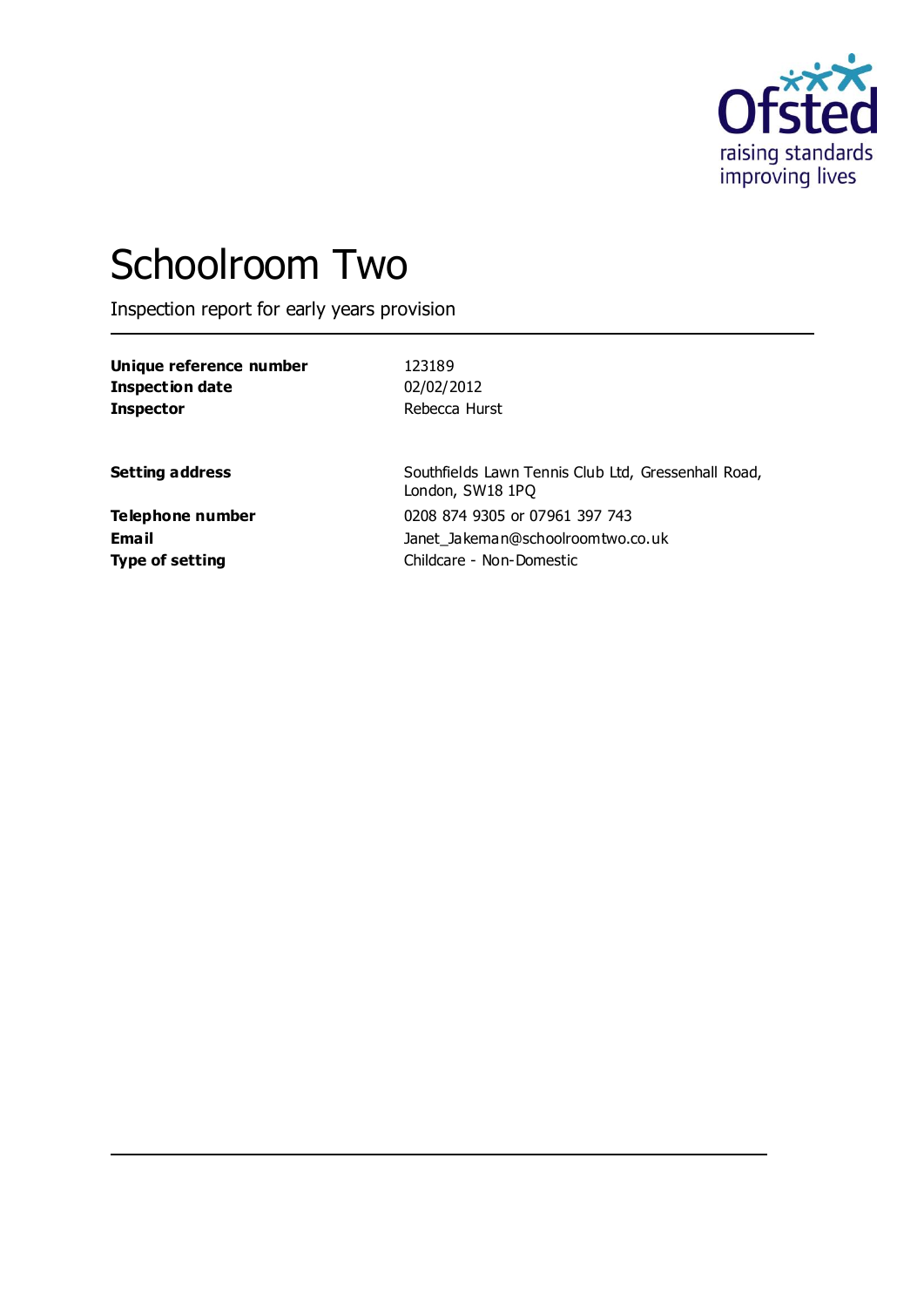

# Schoolroom Two

Inspection report for early years provision

| Unique reference number |  |
|-------------------------|--|
| Inspection date         |  |
| <b>Inspector</b>        |  |

**Unique reference number** 123189 **Inspection date** 02/02/2012 Rebecca Hurst

**Setting address** Southfields Lawn Tennis Club Ltd, Gressenhall Road, London, SW18 1PQ **Telephone number** 0208 874 9305 or 07961 397 743 **Email** Janet\_Jakeman@schoolroomtwo.co.uk **Type of setting** Childcare - Non-Domestic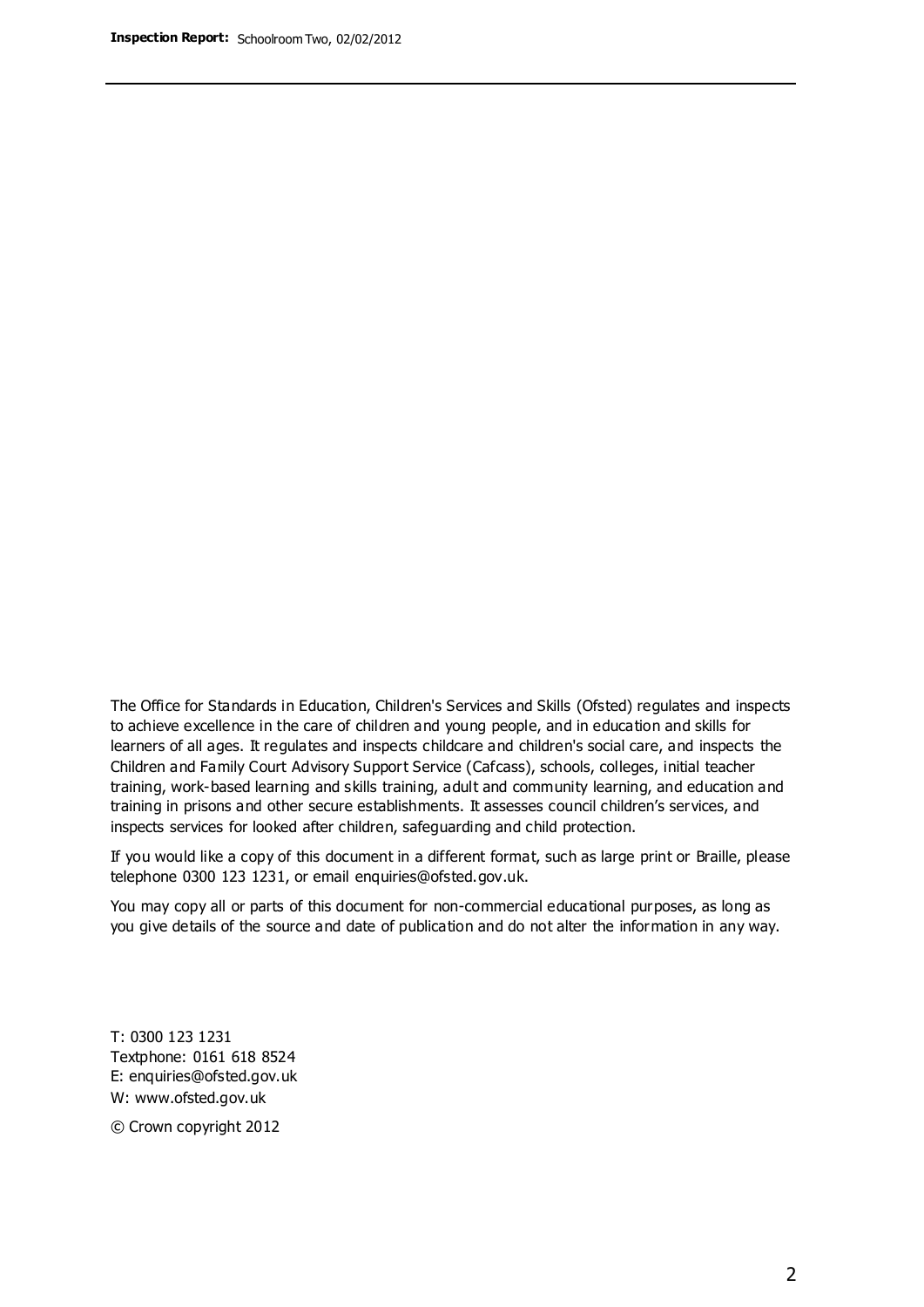The Office for Standards in Education, Children's Services and Skills (Ofsted) regulates and inspects to achieve excellence in the care of children and young people, and in education and skills for learners of all ages. It regulates and inspects childcare and children's social care, and inspects the Children and Family Court Advisory Support Service (Cafcass), schools, colleges, initial teacher training, work-based learning and skills training, adult and community learning, and education and training in prisons and other secure establishments. It assesses council children's services, and inspects services for looked after children, safeguarding and child protection.

If you would like a copy of this document in a different format, such as large print or Braille, please telephone 0300 123 1231, or email enquiries@ofsted.gov.uk.

You may copy all or parts of this document for non-commercial educational purposes, as long as you give details of the source and date of publication and do not alter the information in any way.

T: 0300 123 1231 Textphone: 0161 618 8524 E: enquiries@ofsted.gov.uk W: [www.ofsted.gov.uk](http://www.ofsted.gov.uk/)

© Crown copyright 2012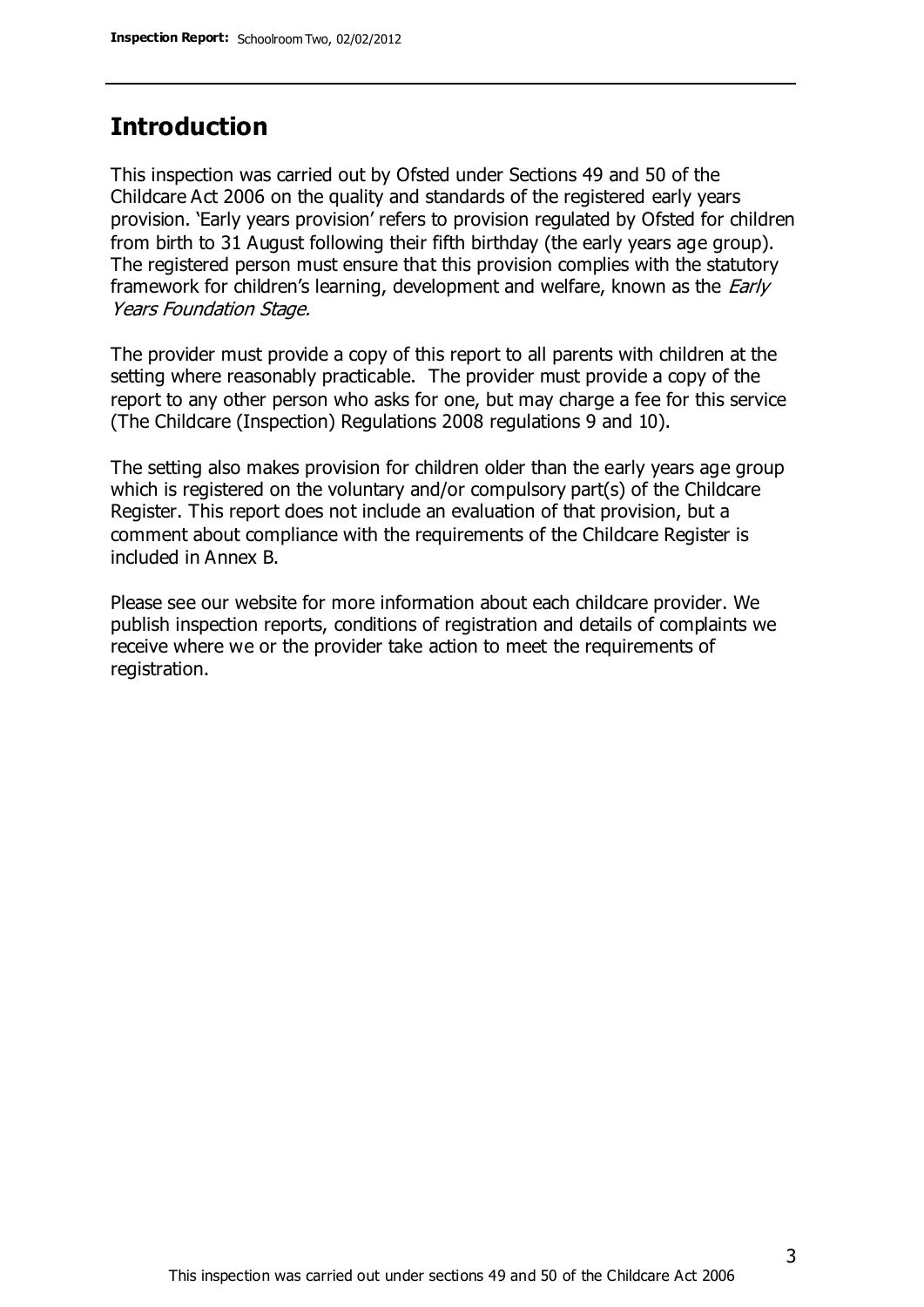### **Introduction**

This inspection was carried out by Ofsted under Sections 49 and 50 of the Childcare Act 2006 on the quality and standards of the registered early years provision. 'Early years provision' refers to provision regulated by Ofsted for children from birth to 31 August following their fifth birthday (the early years age group). The registered person must ensure that this provision complies with the statutory framework for children's learning, development and welfare, known as the *Early* Years Foundation Stage.

The provider must provide a copy of this report to all parents with children at the setting where reasonably practicable. The provider must provide a copy of the report to any other person who asks for one, but may charge a fee for this service (The Childcare (Inspection) Regulations 2008 regulations 9 and 10).

The setting also makes provision for children older than the early years age group which is registered on the voluntary and/or compulsory part(s) of the Childcare Register. This report does not include an evaluation of that provision, but a comment about compliance with the requirements of the Childcare Register is included in Annex B.

Please see our website for more information about each childcare provider. We publish inspection reports, conditions of registration and details of complaints we receive where we or the provider take action to meet the requirements of registration.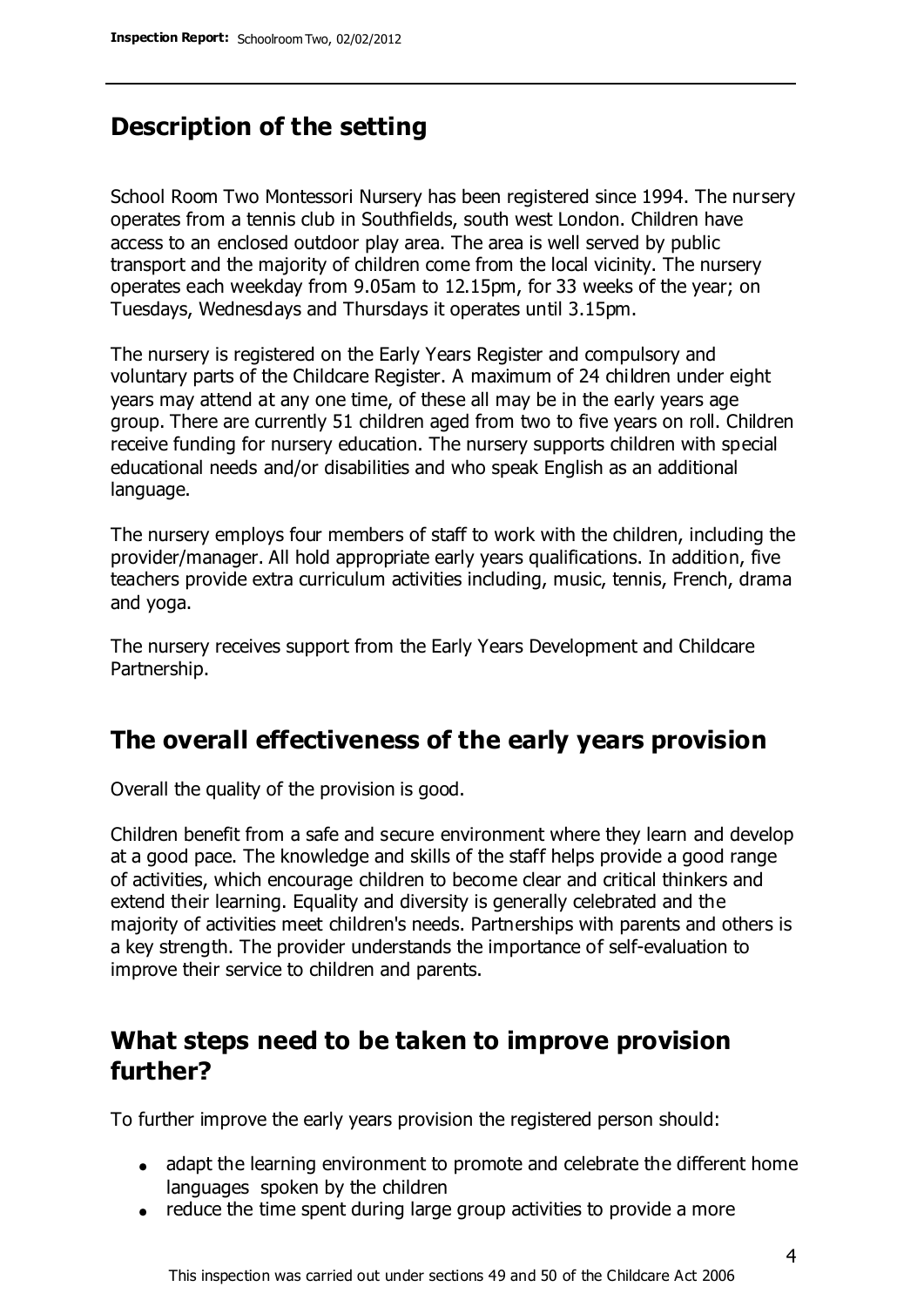### **Description of the setting**

School Room Two Montessori Nursery has been registered since 1994. The nursery operates from a tennis club in Southfields, south west London. Children have access to an enclosed outdoor play area. The area is well served by public transport and the majority of children come from the local vicinity. The nursery operates each weekday from 9.05am to 12.15pm, for 33 weeks of the year; on Tuesdays, Wednesdays and Thursdays it operates until 3.15pm.

The nursery is registered on the Early Years Register and compulsory and voluntary parts of the Childcare Register. A maximum of 24 children under eight years may attend at any one time, of these all may be in the early years age group. There are currently 51 children aged from two to five years on roll. Children receive funding for nursery education. The nursery supports children with special educational needs and/or disabilities and who speak English as an additional language.

The nursery employs four members of staff to work with the children, including the provider/manager. All hold appropriate early years qualifications. In addition, five teachers provide extra curriculum activities including, music, tennis, French, drama and yoga.

The nursery receives support from the Early Years Development and Childcare Partnership.

### **The overall effectiveness of the early years provision**

Overall the quality of the provision is good.

Children benefit from a safe and secure environment where they learn and develop at a good pace. The knowledge and skills of the staff helps provide a good range of activities, which encourage children to become clear and critical thinkers and extend their learning. Equality and diversity is generally celebrated and the majority of activities meet children's needs. Partnerships with parents and others is a key strength. The provider understands the importance of self-evaluation to improve their service to children and parents.

### **What steps need to be taken to improve provision further?**

To further improve the early years provision the registered person should:

- adapt the learning environment to promote and celebrate the different home languages spoken by the children
- reduce the time spent during large group activities to provide a more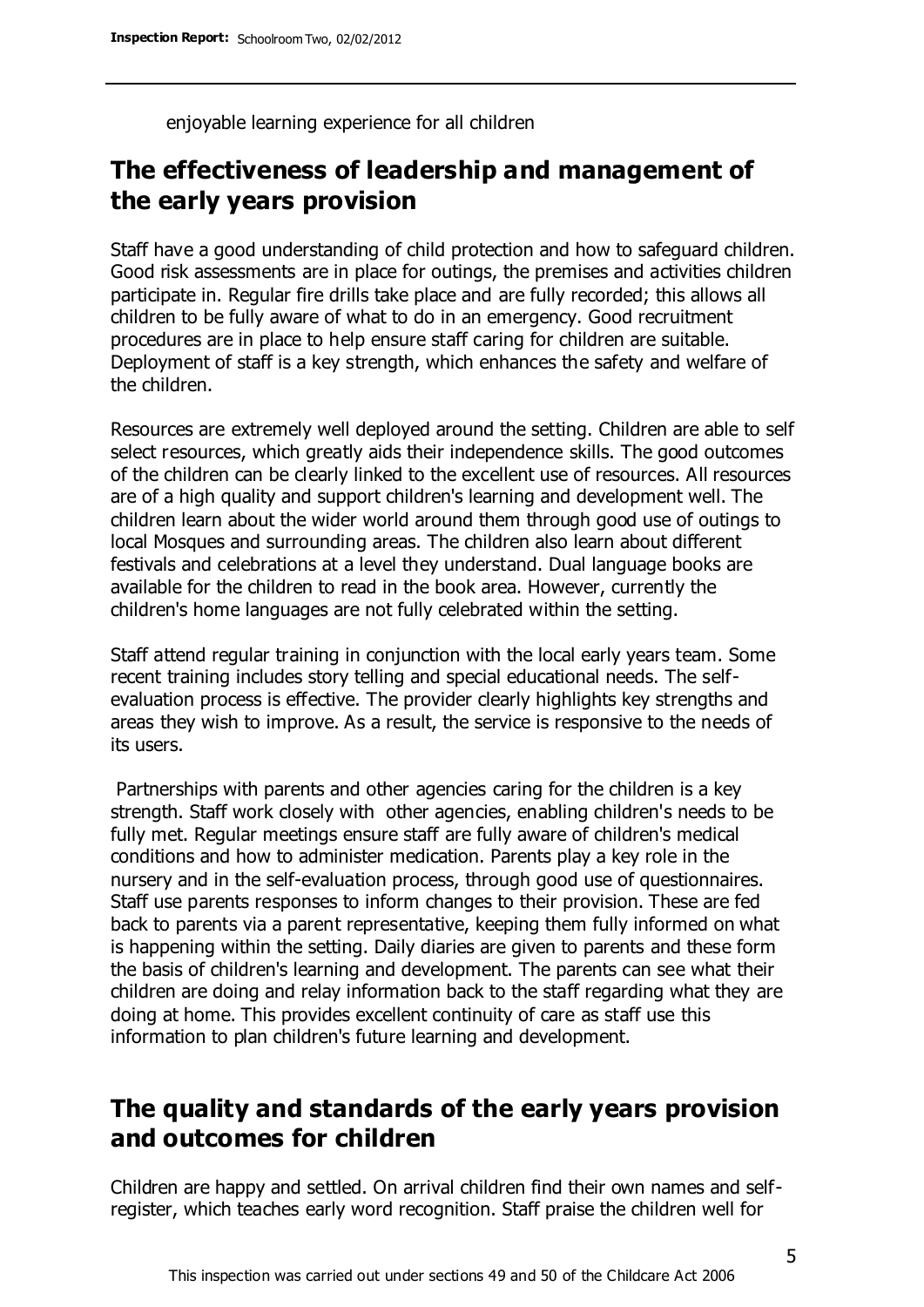enjoyable learning experience for all children

### **The effectiveness of leadership and management of the early years provision**

Staff have a good understanding of child protection and how to safeguard children. Good risk assessments are in place for outings, the premises and activities children participate in. Regular fire drills take place and are fully recorded; this allows all children to be fully aware of what to do in an emergency. Good recruitment procedures are in place to help ensure staff caring for children are suitable. Deployment of staff is a key strength, which enhances the safety and welfare of the children.

Resources are extremely well deployed around the setting. Children are able to self select resources, which greatly aids their independence skills. The good outcomes of the children can be clearly linked to the excellent use of resources. All resources are of a high quality and support children's learning and development well. The children learn about the wider world around them through good use of outings to local Mosques and surrounding areas. The children also learn about different festivals and celebrations at a level they understand. Dual language books are available for the children to read in the book area. However, currently the children's home languages are not fully celebrated within the setting.

Staff attend regular training in conjunction with the local early years team. Some recent training includes story telling and special educational needs. The selfevaluation process is effective. The provider clearly highlights key strengths and areas they wish to improve. As a result, the service is responsive to the needs of its users.

Partnerships with parents and other agencies caring for the children is a key strength. Staff work closely with other agencies, enabling children's needs to be fully met. Regular meetings ensure staff are fully aware of children's medical conditions and how to administer medication. Parents play a key role in the nursery and in the self-evaluation process, through good use of questionnaires. Staff use parents responses to inform changes to their provision. These are fed back to parents via a parent representative, keeping them fully informed on what is happening within the setting. Daily diaries are given to parents and these form the basis of children's learning and development. The parents can see what their children are doing and relay information back to the staff regarding what they are doing at home. This provides excellent continuity of care as staff use this information to plan children's future learning and development.

### **The quality and standards of the early years provision and outcomes for children**

Children are happy and settled. On arrival children find their own names and selfregister, which teaches early word recognition. Staff praise the children well for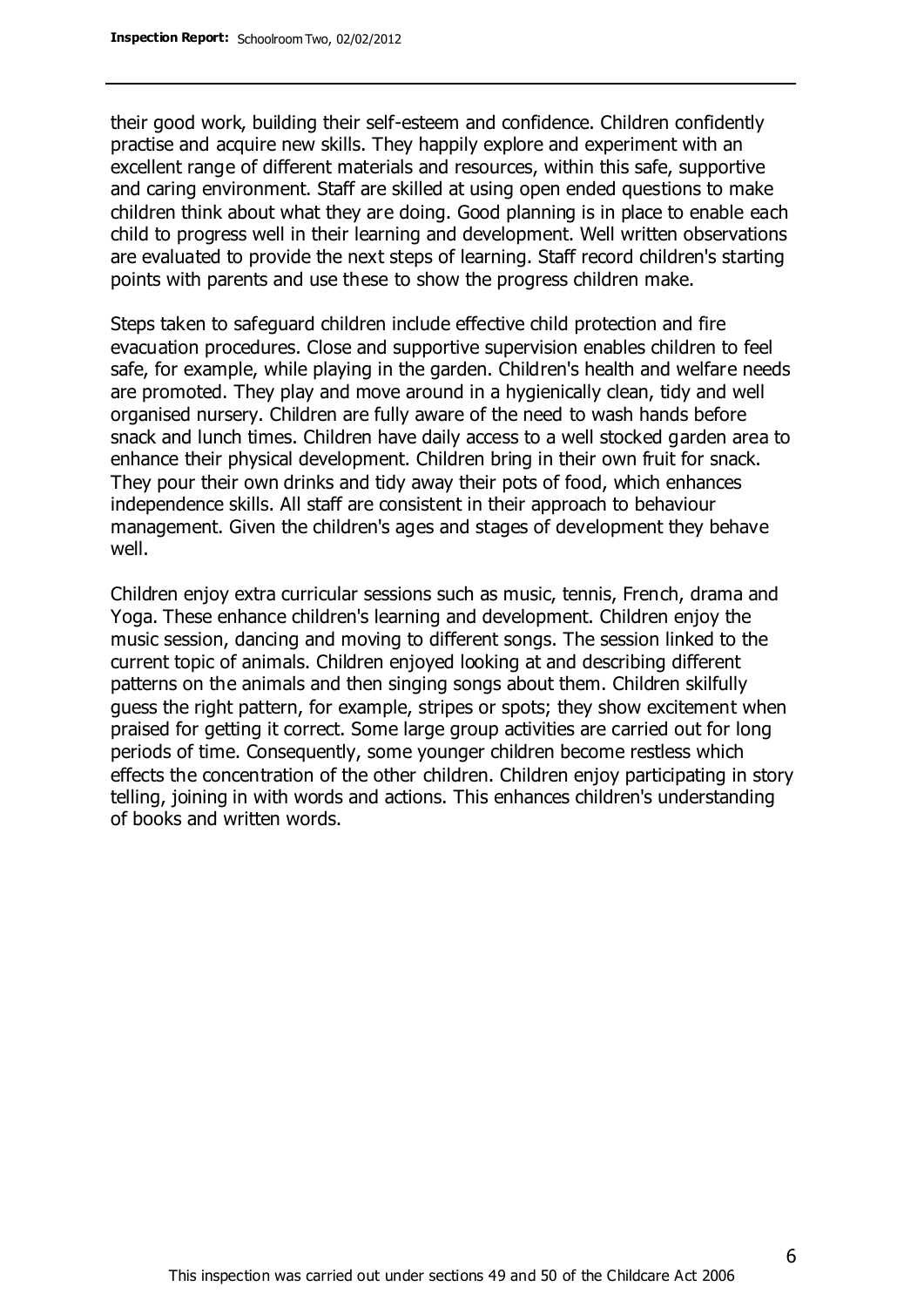their good work, building their self-esteem and confidence. Children confidently practise and acquire new skills. They happily explore and experiment with an excellent range of different materials and resources, within this safe, supportive and caring environment. Staff are skilled at using open ended questions to make children think about what they are doing. Good planning is in place to enable each child to progress well in their learning and development. Well written observations are evaluated to provide the next steps of learning. Staff record children's starting points with parents and use these to show the progress children make.

Steps taken to safeguard children include effective child protection and fire evacuation procedures. Close and supportive supervision enables children to feel safe, for example, while playing in the garden. Children's health and welfare needs are promoted. They play and move around in a hygienically clean, tidy and well organised nursery. Children are fully aware of the need to wash hands before snack and lunch times. Children have daily access to a well stocked garden area to enhance their physical development. Children bring in their own fruit for snack. They pour their own drinks and tidy away their pots of food, which enhances independence skills. All staff are consistent in their approach to behaviour management. Given the children's ages and stages of development they behave well.

Children enjoy extra curricular sessions such as music, tennis, French, drama and Yoga. These enhance children's learning and development. Children enjoy the music session, dancing and moving to different songs. The session linked to the current topic of animals. Children enjoyed looking at and describing different patterns on the animals and then singing songs about them. Children skilfully guess the right pattern, for example, stripes or spots; they show excitement when praised for getting it correct. Some large group activities are carried out for long periods of time. Consequently, some younger children become restless which effects the concentration of the other children. Children enjoy participating in story telling, joining in with words and actions. This enhances children's understanding of books and written words.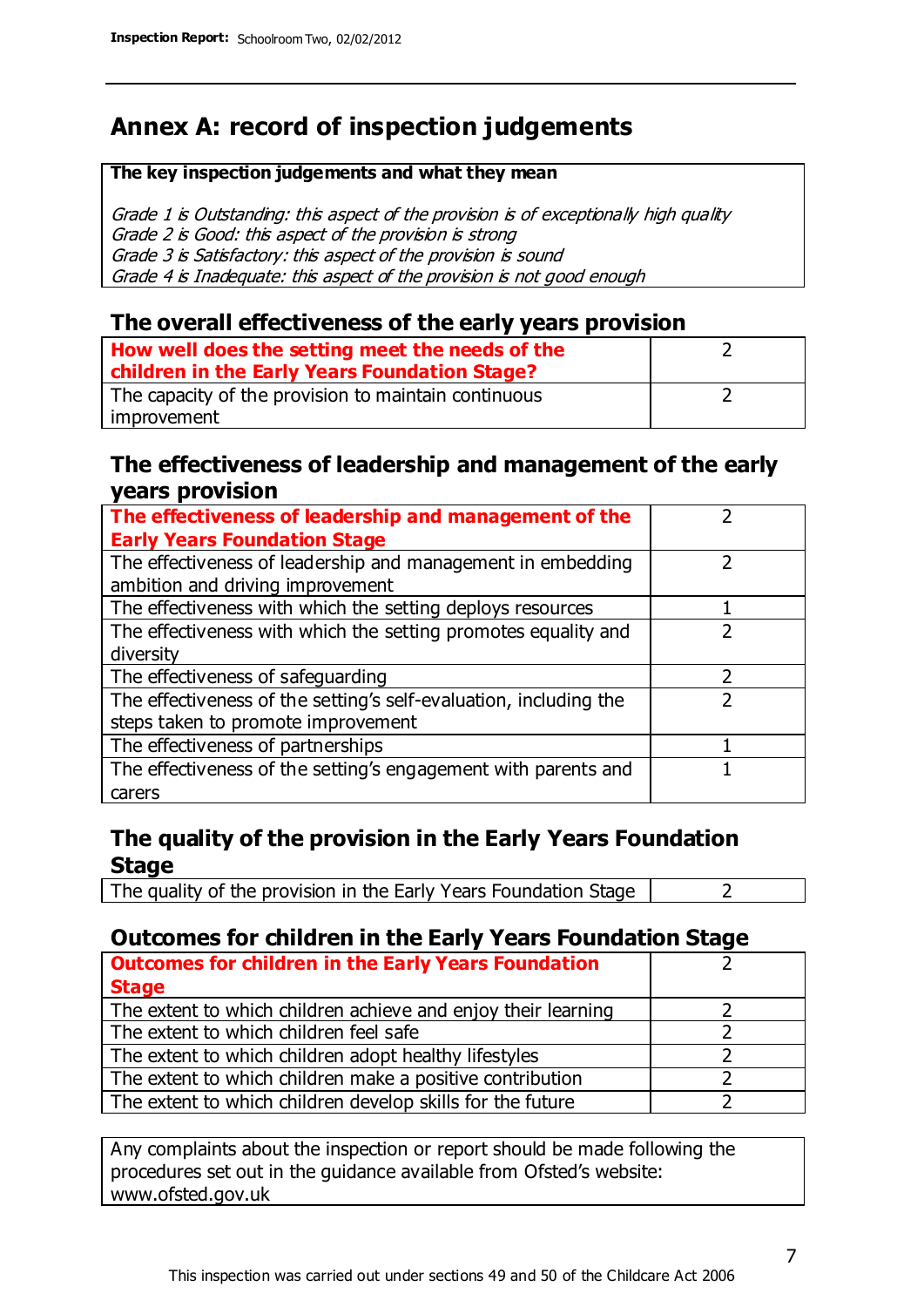### **Annex A: record of inspection judgements**

#### **The key inspection judgements and what they mean**

Grade 1 is Outstanding: this aspect of the provision is of exceptionally high quality Grade 2 is Good: this aspect of the provision is strong Grade 3 is Satisfactory: this aspect of the provision is sound Grade 4 is Inadequate: this aspect of the provision is not good enough

### **The overall effectiveness of the early years provision**

| How well does the setting meet the needs of the      |  |
|------------------------------------------------------|--|
| children in the Early Years Foundation Stage?        |  |
| The capacity of the provision to maintain continuous |  |
| improvement                                          |  |

### **The effectiveness of leadership and management of the early years provision**

| The effectiveness of leadership and management of the             |  |
|-------------------------------------------------------------------|--|
| <b>Early Years Foundation Stage</b>                               |  |
| The effectiveness of leadership and management in embedding       |  |
| ambition and driving improvement                                  |  |
| The effectiveness with which the setting deploys resources        |  |
| The effectiveness with which the setting promotes equality and    |  |
| diversity                                                         |  |
| The effectiveness of safeguarding                                 |  |
| The effectiveness of the setting's self-evaluation, including the |  |
| steps taken to promote improvement                                |  |
| The effectiveness of partnerships                                 |  |
| The effectiveness of the setting's engagement with parents and    |  |
| carers                                                            |  |

### **The quality of the provision in the Early Years Foundation Stage**

The quality of the provision in the Early Years Foundation Stage  $\vert$  2

### **Outcomes for children in the Early Years Foundation Stage**

| <b>Outcomes for children in the Early Years Foundation</b>    |  |
|---------------------------------------------------------------|--|
| <b>Stage</b>                                                  |  |
| The extent to which children achieve and enjoy their learning |  |
| The extent to which children feel safe                        |  |
| The extent to which children adopt healthy lifestyles         |  |
| The extent to which children make a positive contribution     |  |
| The extent to which children develop skills for the future    |  |

Any complaints about the inspection or report should be made following the procedures set out in the guidance available from Ofsted's website: www.ofsted.gov.uk